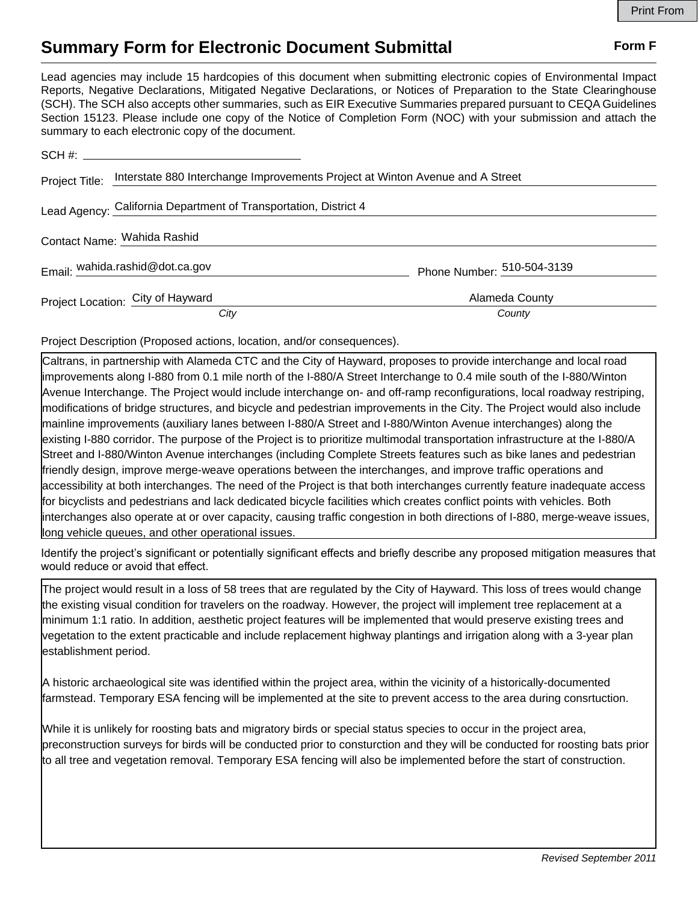## **Summary Form for Electronic Document Submittal Form F Form F**

Lead agencies may include 15 hardcopies of this document when submitting electronic copies of Environmental Impact Reports, Negative Declarations, Mitigated Negative Declarations, or Notices of Preparation to the State Clearinghouse (SCH). The SCH also accepts other summaries, such as EIR Executive Summaries prepared pursuant to CEQA Guidelines Section 15123. Please include one copy of the Notice of Completion Form (NOC) with your submission and attach the summary to each electronic copy of the document.

|                             | Project Title: Interstate 880 Interchange Improvements Project at Winton Avenue and A Street |                            |
|-----------------------------|----------------------------------------------------------------------------------------------|----------------------------|
|                             | Lead Agency: California Department of Transportation, District 4                             |                            |
| Contact Name: Wahida Rashid |                                                                                              |                            |
|                             | Email: wahida.rashid@dot.ca.gov                                                              | Phone Number: 510-504-3139 |
|                             | Project Location: City of Hayward                                                            | Alameda County             |
|                             | City                                                                                         | County                     |

Project Description (Proposed actions, location, and/or consequences).

Caltrans, in partnership with Alameda CTC and the City of Hayward, proposes to provide interchange and local road improvements along I-880 from 0.1 mile north of the I-880/A Street Interchange to 0.4 mile south of the I-880/Winton Avenue Interchange. The Project would include interchange on- and off-ramp reconfigurations, local roadway restriping, modifications of bridge structures, and bicycle and pedestrian improvements in the City. The Project would also include mainline improvements (auxiliary lanes between I-880/A Street and I-880/Winton Avenue interchanges) along the existing I-880 corridor. The purpose of the Project is to prioritize multimodal transportation infrastructure at the I-880/A Street and I-880/Winton Avenue interchanges (including Complete Streets features such as bike lanes and pedestrian friendly design, improve merge-weave operations between the interchanges, and improve traffic operations and accessibility at both interchanges. The need of the Project is that both interchanges currently feature inadequate access for bicyclists and pedestrians and lack dedicated bicycle facilities which creates conflict points with vehicles. Both interchanges also operate at or over capacity, causing traffic congestion in both directions of I-880, merge-weave issues, long vehicle queues, and other operational issues.

Identify the project's significant or potentially significant effects and briefly describe any proposed mitigation measures that would reduce or avoid that effect.

The project would result in a loss of 58 trees that are regulated by the City of Hayward. This loss of trees would change the existing visual condition for travelers on the roadway. However, the project will implement tree replacement at a minimum 1:1 ratio. In addition, aesthetic project features will be implemented that would preserve existing trees and vegetation to the extent practicable and include replacement highway plantings and irrigation along with a 3-year plan establishment period.

A historic archaeological site was identified within the project area, within the vicinity of a historically-documented farmstead. Temporary ESA fencing will be implemented at the site to prevent access to the area during consrtuction.

While it is unlikely for roosting bats and migratory birds or special status species to occur in the project area, preconstruction surveys for birds will be conducted prior to consturction and they will be conducted for roosting bats prior to all tree and vegetation removal. Temporary ESA fencing will also be implemented before the start of construction.